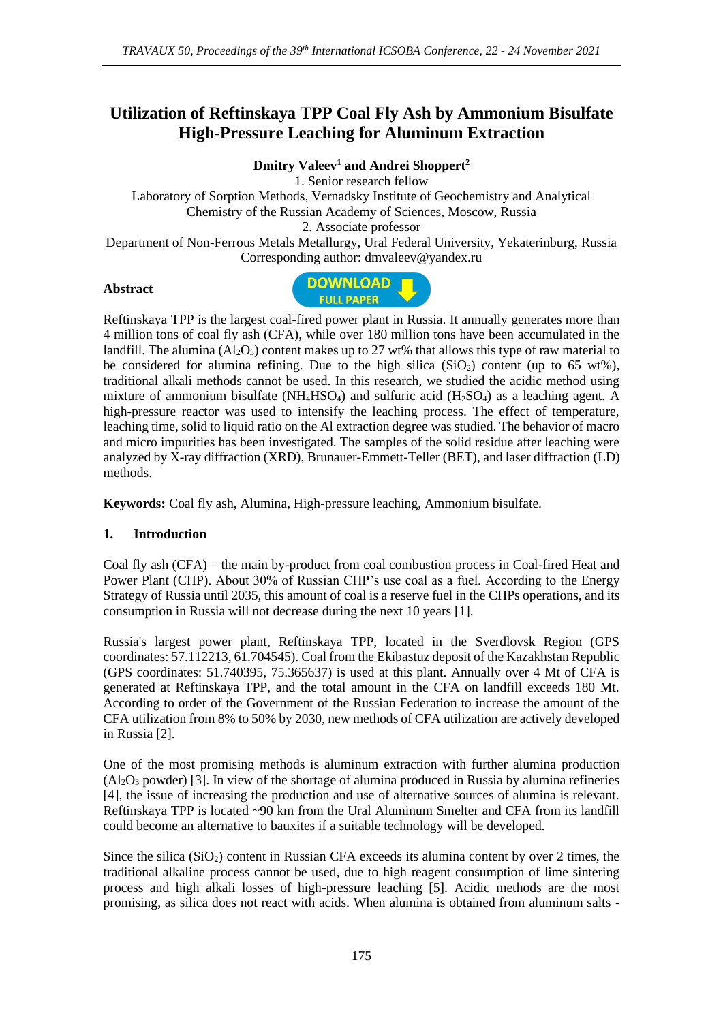# **Utilization of Reftinskaya TPP Coal Fly Ash by Ammonium Bisulfate High-Pressure Leaching for Aluminum Extraction**

**Dmitry Valeev<sup>1</sup> and Andrei Shoppert<sup>2</sup>**

1. Senior research fellow Laboratory of Sorption Methods, Vernadsky Institute of Geochemistry and Analytical Chemistry of the Russian Academy of Sciences, Moscow, Russia 2. Associate professor Department of Non-Ferrous Metals Metallurgy, Ural Federal University, Yekaterinburg, Russia Corresponding author: dmvaleev@yandex.ru

#### **Abstract**



Reftinskaya TPP is the largest coal-fired power plant in Russia. It annually generates more than 4 million tons of coal fly ash (CFA), while over 180 million tons have been accumulated in the landfill. The alumina  $(A_2O_3)$  content makes up to 27 wt% that allows this type of raw material to be considered for alumina refining. Due to the high silica  $(SiO<sub>2</sub>)$  content (up to 65 wt%), traditional alkali methods cannot be used. In this research, we studied the acidic method using mixture of ammonium bisulfate ( $NH<sub>4</sub>HSO<sub>4</sub>$ ) and sulfuric acid ( $H<sub>2</sub>SO<sub>4</sub>$ ) as a leaching agent. A high-pressure reactor was used to intensify the leaching process. The effect of temperature, leaching time, solid to liquid ratio on the Al extraction degree was studied. The behavior of macro and micro impurities has been investigated. The samples of the solid residue after leaching were analyzed by X-ray diffraction (XRD), Brunauer-Emmett-Teller (BET), and laser diffraction (LD) methods.

**Keywords:** Coal fly ash, Alumina, High-pressure leaching, Ammonium bisulfate.

# **1. Introduction**

Coal fly ash (CFA) – the main by-product from coal combustion process in Coal-fired Heat and Power Plant (CHP). About 30% of Russian CHP's use coal as a fuel. According to the Energy Strategy of Russia until 2035, this amount of coal is a reserve fuel in the CHPs operations, and its consumption in Russia will not decrease during the next 10 years [1].

Russia's largest power plant, Reftinskaya TPP, located in the Sverdlovsk Region (GPS coordinates: 57.112213, 61.704545). Coal from the Ekibastuz deposit of the Kazakhstan Republic (GPS coordinates: 51.740395, 75.365637) is used at this plant. Annually over 4 Mt of CFA is generated at Reftinskaya TPP, and the total amount in the CFA on landfill exceeds 180 Mt. According to order of the Government of the Russian Federation to increase the amount of the CFA utilization from 8% to 50% by 2030, new methods of CFA utilization are actively developed in Russia [2].

One of the most promising methods is aluminum extraction with further alumina production  $(A<sub>2</sub>O<sub>3</sub>$  powder) [3]. In view of the shortage of alumina produced in Russia by alumina refineries [4], the issue of increasing the production and use of alternative sources of alumina is relevant. Reftinskaya TPP is located ~90 km from the Ural Aluminum Smelter and CFA from its landfill could become an alternative to bauxites if a suitable technology will be developed.

Since the silica  $(SiO<sub>2</sub>)$  content in Russian CFA exceeds its alumina content by over 2 times, the traditional alkaline process cannot be used, due to high reagent consumption of lime sintering process and high alkali losses of high-pressure leaching [5]. Acidic methods are the most promising, as silica does not react with acids. When alumina is obtained from aluminum salts -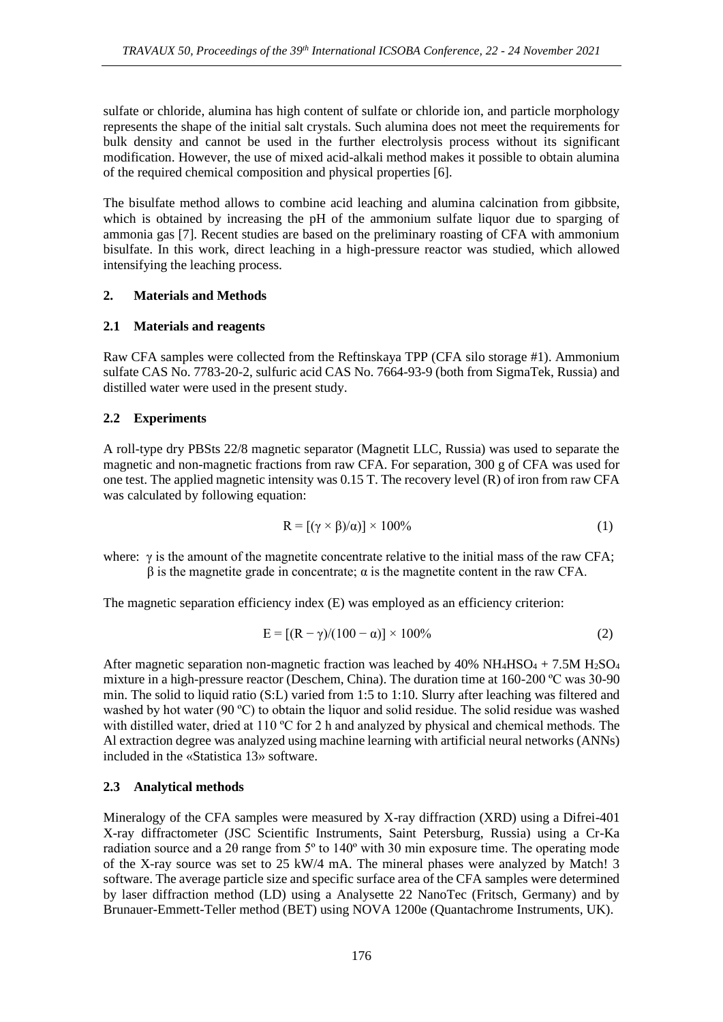sulfate or chloride, alumina has high content of sulfate or chloride ion, and particle morphology represents the shape of the initial salt crystals. Such alumina does not meet the requirements for bulk density and cannot be used in the further electrolysis process without its significant modification. However, the use of mixed acid-alkali method makes it possible to obtain alumina of the required chemical composition and physical properties [6].

The bisulfate method allows to combine acid leaching and alumina calcination from gibbsite, which is obtained by increasing the pH of the ammonium sulfate liquor due to sparging of ammonia gas [7]. Recent studies are based on the preliminary roasting of CFA with ammonium bisulfate. In this work, direct leaching in a high-pressure reactor was studied, which allowed intensifying the leaching process.

#### **2. Materials and Methods**

# **2.1 Materials and reagents**

Raw CFA samples were collected from the Reftinskaya TPP (CFA silo storage #1). Ammonium sulfate CAS No. 7783-20-2, sulfuric acid CAS No. 7664-93-9 (both from SigmaTek, Russia) and distilled water were used in the present study.

#### **2.2 Experiments**

A roll-type dry PBSts 22/8 magnetic separator (Magnetit LLC, Russia) was used to separate the magnetic and non-magnetic fractions from raw CFA. For separation, 300 g of CFA was used for one test. The applied magnetic intensity was 0.15 T. The recovery level (R) of iron from raw CFA was calculated by following equation:

$$
R = [(\gamma \times \beta)/\alpha)] \times 100\%
$$
 (1)

where:  $\gamma$  is the amount of the magnetite concentrate relative to the initial mass of the raw CFA;  $β$  is the magnetite grade in concentrate;  $α$  is the magnetite content in the raw CFA.

The magnetic separation efficiency index (E) was employed as an efficiency criterion:

$$
E = [(R - \gamma)/(100 - \alpha)] \times 100\%
$$
 (2)

After magnetic separation non-magnetic fraction was leached by  $40\% \text{ NH}_4\text{HSO}_4 + 7.5\text{M H}_2\text{SO}_4$ mixture in a high-pressure reactor (Deschem, China). The duration time at 160-200 ºC was 30-90 min. The solid to liquid ratio (S:L) varied from 1:5 to 1:10. Slurry after leaching was filtered and washed by hot water (90 ºC) to obtain the liquor and solid residue. The solid residue was washed with distilled water, dried at 110 °C for 2 h and analyzed by physical and chemical methods. The Al extraction degree was analyzed using machine learning with artificial neural networks (ANNs) included in the «Statistica 13» software.

# **2.3 Analytical methods**

Mineralogy of the CFA samples were measured by X-ray diffraction (XRD) using a Difrei-401 X-ray diffractometer (JSC Scientific Instruments, Saint Petersburg, Russia) using a Cr-Ka radiation source and a 2θ range from 5º to 140º with 30 min exposure time. The operating mode of the X-ray source was set to 25 kW/4 mA. The mineral phases were analyzed by Match! 3 software. The average particle size and specific surface area of the CFA samples were determined by laser diffraction method (LD) using a Analysette 22 NanoTec (Fritsch, Germany) and by Brunauer-Emmett-Teller method (BET) using NOVA 1200e (Quantachrome Instruments, UK).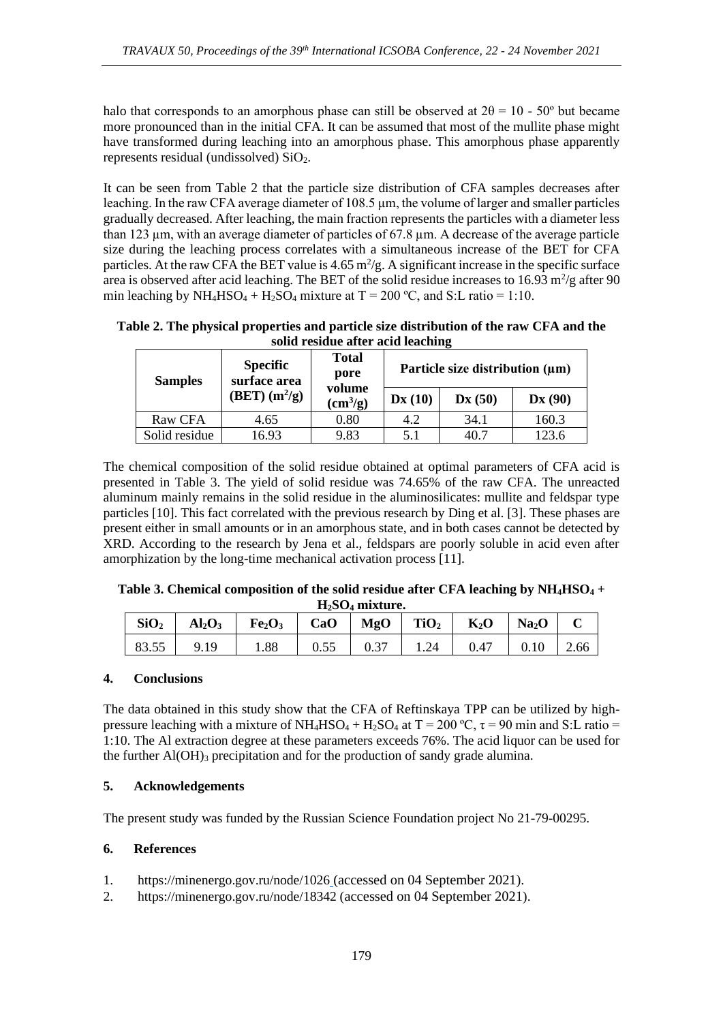halo that corresponds to an amorphous phase can still be observed at  $2\theta = 10 - 50^{\circ}$  but became more pronounced than in the initial CFA. It can be assumed that most of the mullite phase might have transformed during leaching into an amorphous phase. This amorphous phase apparently represents residual (undissolved) SiO2.

It can be seen from Table 2 that the particle size distribution of CFA samples decreases after leaching. In the raw CFA average diameter of 108.5 µm, the volume of larger and smaller particles gradually decreased. After leaching, the main fraction represents the particles with a diameter less than 123 µm, with an average diameter of particles of 67.8 µm. A decrease of the average particle size during the leaching process correlates with a simultaneous increase of the BET for CFA particles. At the raw CFA the BET value is  $4.65 \text{ m}^2/\text{g}$ . A significant increase in the specific surface area is observed after acid leaching. The BET of the solid residue increases to  $16.93 \text{ m}^2/\text{g}$  after  $90$ min leaching by  $NH_4HSO_4 + H_2SO_4$  mixture at  $T = 200 \degree C$ , and S:L ratio = 1:10.

**Table 2. The physical properties and particle size distribution of the raw CFA and the solid residue after acid leaching**

| <b>Samples</b> | <b>Specific</b><br>surface area | <b>Total</b><br>pore<br>volume<br>$\text{cm}^3\text{/g}$ | Particle size distribution (µm) |        |                             |  |
|----------------|---------------------------------|----------------------------------------------------------|---------------------------------|--------|-----------------------------|--|
|                | $(BET)$ $(m^2/g)$               |                                                          | $\mathbf{D}\mathbf{x}$ (10)     | Dx(50) | $\mathbf{D}\mathbf{x}$ (90) |  |
| Raw CFA        | 4.65                            | 0.80                                                     | 4.2                             | 34.1   | 160.3                       |  |
| Solid residue  | 16.93                           | 9.83                                                     | 5.1                             | 40.7   | 123.6                       |  |

The chemical composition of the solid residue obtained at optimal parameters of CFA acid is presented in Table 3. The yield of solid residue was 74.65% of the raw CFA. The unreacted aluminum mainly remains in the solid residue in the aluminosilicates: mullite and feldspar type particles [10]. This fact correlated with the previous research by Ding et al. [3]. These phases are present either in small amounts or in an amorphous state, and in both cases cannot be detected by XRD. According to the research by Jena et al., feldspars are poorly soluble in acid even after amorphization by the long-time mechanical activation process [11].

| Table 3. Chemical composition of the solid residue after CFA leaching by $NH_4HSO_4 +$ |
|----------------------------------------------------------------------------------------|
| $H_2SO_4$ mixture.                                                                     |

| SiO <sub>2</sub> |      | $\text{Al}_2\text{O}_3$   Fe <sub>2</sub> O <sub>3</sub>   CaO   MgO   TiO <sub>2</sub>   K <sub>2</sub> O   Na <sub>2</sub> O |      |      |      |                           |      |
|------------------|------|--------------------------------------------------------------------------------------------------------------------------------|------|------|------|---------------------------|------|
| 83.55            | 9.19 | 1.88                                                                                                                           | 0.55 | 0.37 | 1.24 | $0.47 \quad   \quad 0.10$ | 2.66 |

# **4. Conclusions**

The data obtained in this study show that the CFA of Reftinskaya TPP can be utilized by highpressure leaching with a mixture of NH<sub>4</sub>HSO<sub>4</sub> + H<sub>2</sub>SO<sub>4</sub> at T = 200 °C,  $\tau$  = 90 min and S:L ratio = 1:10. The Al extraction degree at these parameters exceeds 76%. The acid liquor can be used for the further  $AI(OH)$ <sub>3</sub> precipitation and for the production of sandy grade alumina.

# **5. Acknowledgements**

The present study was funded by the Russian Science Foundation project No 21-79-00295.

# **6. References**

- 1. https://minenergo.gov.ru/node/1026 (accessed on 04 September 2021).
- 2. https://minenergo.gov.ru/node/18342 (accessed on 04 September 2021).